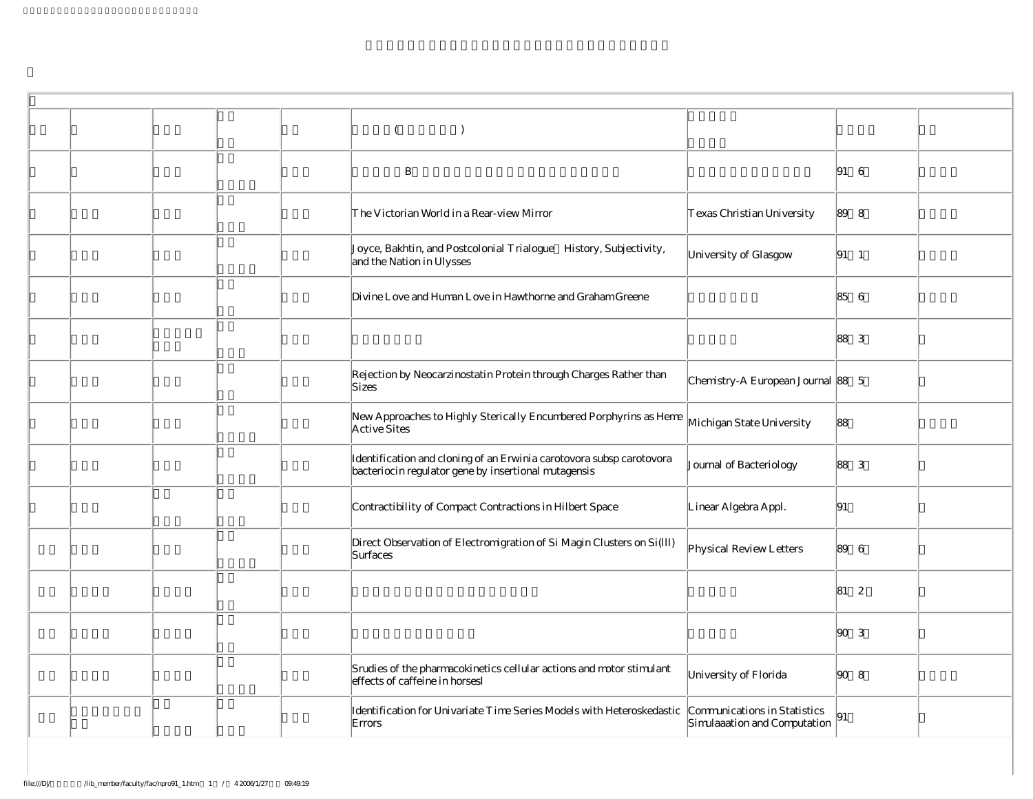|  |  | $\lambda$                                                                                                                    |                                                              |                                                            |  |
|--|--|------------------------------------------------------------------------------------------------------------------------------|--------------------------------------------------------------|------------------------------------------------------------|--|
|  |  | $\, {\bf B}$                                                                                                                 |                                                              | $ 91 \quad 6$                                              |  |
|  |  | The Victorian World in a Rear-view Mirror                                                                                    | Texas Christian University                                   | 89 8                                                       |  |
|  |  | Joyce, Bakhtin, and Postcolonial Trialogue History, Subjectivity,<br>and the Nation in Ulysses                               | University of Glasgow                                        | $\begin{vmatrix} 91 & 1 \end{vmatrix}$                     |  |
|  |  | Divine Love and Human Love in Hawthorne and Graham Greene                                                                    |                                                              | 85 6                                                       |  |
|  |  |                                                                                                                              |                                                              | 88 3                                                       |  |
|  |  | Rejection by Neocarzinostatin Protein through Charges Rather than<br>Sizes                                                   | Chemistry-A European Journal 88 5                            |                                                            |  |
|  |  | New Approaches to Highly Sterically Encumbered Porphyrins as Heme<br>Active Sites                                            | Michigan State University                                    | 88                                                         |  |
|  |  | Identification and cloning of an Erwinia carotovora subsp carotovora<br>bacteriocin regulator gene by insertional mutagensis | Journal of Bacteriology                                      | 88 3                                                       |  |
|  |  | Contractibility of Compact Contractions in Hilbert Space                                                                     | Linear Algebra Appl.                                         | 91                                                         |  |
|  |  | Direct Observation of Electromigration of Si Magin Clusters on Si(Ill)<br>Surfaces                                           | Physical Review Letters                                      | 89 6                                                       |  |
|  |  |                                                                                                                              |                                                              | 81 2                                                       |  |
|  |  |                                                                                                                              |                                                              | $\begin{array}{ c c } \hline 90 & 3 \\ \hline \end{array}$ |  |
|  |  | Srudies of the pharmacokinetics cellular actions and motor stimulant<br>effects of caffeine in horsesl                       | University of Florida                                        | $\begin{array}{ccc} \n\text{90} & 8\n\end{array}$          |  |
|  |  | Identification for Univariate Time Series Models with Heteroskedastic<br>Errors                                              | Communications in Statistics<br>Simulaaation and Computation | 91                                                         |  |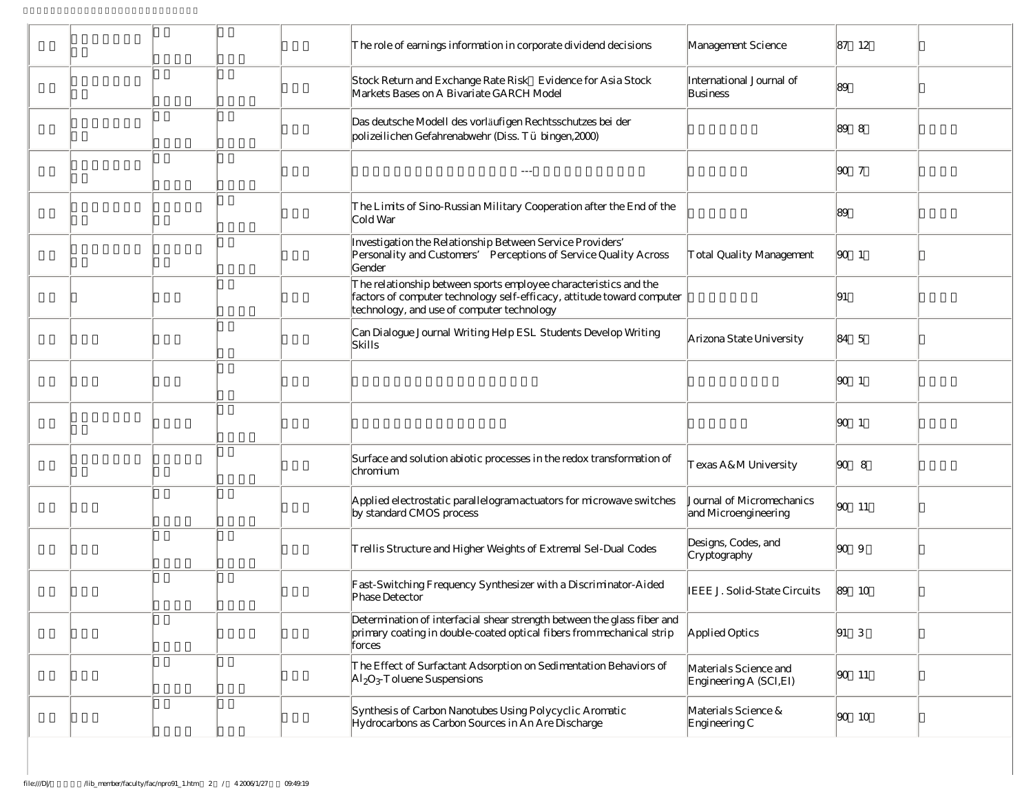| $\mathcal T$ he role of earnings information in corporate dividend decisions                                                                                                             | Management Science                                | 87 12                                                        |
|------------------------------------------------------------------------------------------------------------------------------------------------------------------------------------------|---------------------------------------------------|--------------------------------------------------------------|
| Stock Return and Exchange Rate Risk Evidence for Asia Stock<br>Markets Bases on A Bivariate GARCH Model                                                                                  | International Journal of<br>Business              | 89                                                           |
| Das deutsche Modell des vorläufigen Rechtsschutzes bei der<br>polizeilichen Gefahrenabwehr (Diss. Tü bingen, 2000)                                                                       |                                                   | 89 8                                                         |
|                                                                                                                                                                                          |                                                   | $\begin{array}{ccc} \n90 & 7\n\end{array}$                   |
| The Limits of Sino-Russian Military Cooperation after the End of the<br>Cold War                                                                                                         |                                                   | 89                                                           |
| Investigation the Relationship Between Service Providers'<br>Personality and Customers' Perceptions of Service Quality Across<br>Gender                                                  | Total Quality Management                          | $\begin{vmatrix} 90 & 1 \end{vmatrix}$                       |
| The relationship between sports employee characteristics and the<br>factors of computer technology self-efficacy, attitude toward computer<br>technology, and use of computer technology |                                                   | 191                                                          |
| Can Dialogue Journal Writing Help ESL Students Develop Writing<br>Skills                                                                                                                 | Arizona State University                          | 84 5                                                         |
|                                                                                                                                                                                          |                                                   | $\begin{vmatrix} 90 & 1 \end{vmatrix}$                       |
|                                                                                                                                                                                          |                                                   | 90 1                                                         |
| Surface and solution abiotic processes in the redox transformation of<br>chromium                                                                                                        | Texas A&M University                              | $\begin{array}{ccc} \hline \text{SO} & \text{8} \end{array}$ |
| Applied electrostatic parallelogram actuators for microwave switches<br>by standard CMOS process                                                                                         | Journal of Micromechanics<br>and Microengineering | $ 90 \t11$                                                   |
| Trellis Structure and Higher Weights of Extremal Sel-Dual Codes                                                                                                                          | Designs, Codes, and<br>Cryptography               | $\begin{array}{ccc} \hline 90 & 9 \end{array}$               |
| Fast-Switching Frequency Synthesizer with a Discriminator-Aided<br>Phase Detector                                                                                                        | IEEE J. Solid-State Circuits                      | 189 10                                                       |
| Determination of interfacial shear strength between the glass fiber and<br>primary coating in double-coated optical fibers from mechanical strip<br>forces                               | Applied Optics                                    | $91\quad3$                                                   |
| The Effect of Surfactant Adsorption on Sedimentation Behaviors of<br>$\mathrm{Al}_2\mathrm{O}_3$ T oluene Suspensions                                                                    | Materials Science and<br>Engineering A (SCI, EI)  | $ 90 \t11$                                                   |
| Synthesis of Carbon Nanotubes Using Polycyclic Aromatic<br>Hydrocarbons as Carbon Sources in An Are Discharge                                                                            | Materials Science &<br>Engineering C              | $ 90 \t10$                                                   |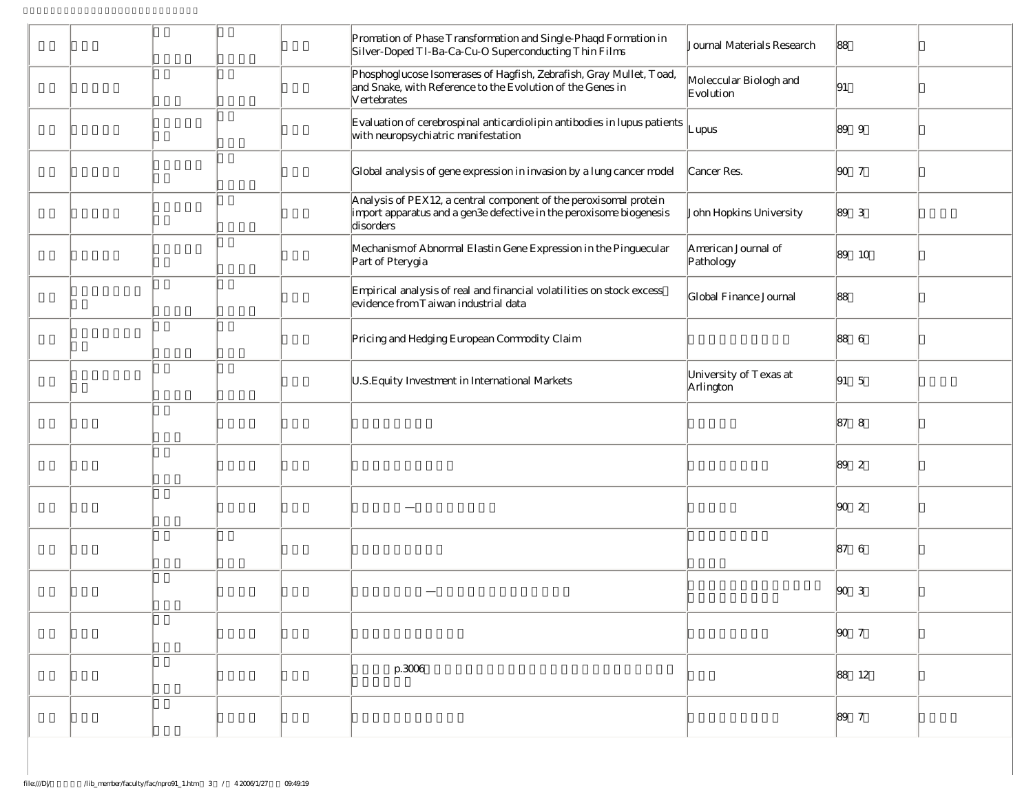|  |  | Promation of Phase Transformation and Single-Phaqd Formation in<br>Silver-Doped Tl-Ba-Ca-Cu-O Superconducting Thin Films                              | Journal Materials Research          | 88                                                                            |  |
|--|--|-------------------------------------------------------------------------------------------------------------------------------------------------------|-------------------------------------|-------------------------------------------------------------------------------|--|
|  |  | Phosphoglucose Isomerases of Hagfish, Zebrafish, Gray Mullet, Toad,<br>and Snake, with Reference to the Evolution of the Genes in<br>Vertebrates      | Moleccular Biologh and<br>Evolution | 91                                                                            |  |
|  |  | Evaluation of cerebrospinal anticardiolipin antibodies in lupus patients<br>with neuropsychiatric manifestation                                       | Lupus                               | 89 9                                                                          |  |
|  |  | Global analysis of gene expression in invasion by a lung cancer model                                                                                 | Cancer Res.                         | $\begin{array}{ccc} \hline \text{90} & \hline \text{7} \\ \hline \end{array}$ |  |
|  |  | Analysis of PEX12, a central component of the peroxisomal protein<br>import apparatus and a gen3e defective in the peroxisome biogenesis<br>disorders | John Hopkins University             | 89 3                                                                          |  |
|  |  | Mechanism of Abnormal Elastin Gene Expression in the Pinguecular<br>Part of Pterygia                                                                  | American Journal of<br>Pathology    | 89<br>10                                                                      |  |
|  |  | Empirical analysis of real and financial volatilities on stock excess<br>evidence from T aiwan industrial data                                        | Global Finance Journal              | 88                                                                            |  |
|  |  | Pricing and Hedging European Commodity Claim                                                                                                          |                                     | 88 6                                                                          |  |
|  |  | U.S. Equity Investment in International Markets                                                                                                       | University of Texas at<br>Arlington | $ 91 \quad 5$                                                                 |  |
|  |  |                                                                                                                                                       |                                     | 87 8                                                                          |  |
|  |  |                                                                                                                                                       |                                     | 89 2                                                                          |  |
|  |  |                                                                                                                                                       |                                     | $\begin{array}{ccc} \hline \text{SO} & 2 \end{array}$                         |  |
|  |  |                                                                                                                                                       |                                     | 87 6                                                                          |  |
|  |  |                                                                                                                                                       |                                     | $ 90 \quad 3$                                                                 |  |
|  |  |                                                                                                                                                       |                                     | $\begin{array}{ccc} \hline \text{SO} & \text{7} \end{array}$                  |  |
|  |  | p.3006                                                                                                                                                |                                     | 88 12                                                                         |  |
|  |  |                                                                                                                                                       |                                     | 89 7                                                                          |  |